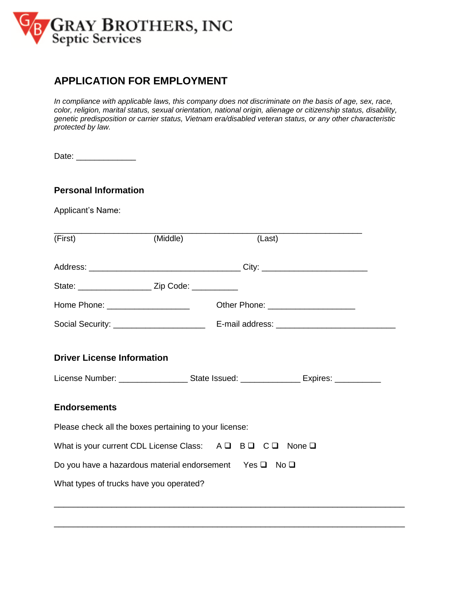

## **APPLICATION FOR EMPLOYMENT**

*In compliance with applicable laws, this company does not discriminate on the basis of age, sex, race, color, religion, marital status, sexual orientation, national origin, alienage or citizenship status, disability, genetic predisposition or carrier status, Vietnam era/disabled veteran status, or any other characteristic protected by law.* 

| Date: |
|-------|
|-------|

## **Personal Information**

Applicant's Name:

| (First)                                                                                | (Middle) | (Last) |                                                                                                            |
|----------------------------------------------------------------------------------------|----------|--------|------------------------------------------------------------------------------------------------------------|
|                                                                                        |          |        |                                                                                                            |
|                                                                                        |          |        |                                                                                                            |
| Home Phone: _____________________                                                      |          |        |                                                                                                            |
|                                                                                        |          |        |                                                                                                            |
| <b>Driver License Information</b>                                                      |          |        | License Number: ____________________________State Issued: _______________________ Expires: _______________ |
| <b>Endorsements</b>                                                                    |          |        |                                                                                                            |
| Please check all the boxes pertaining to your license:                                 |          |        |                                                                                                            |
| What is your current CDL License Class: $A \square B \square C \square$ None $\square$ |          |        |                                                                                                            |
| Do you have a hazardous material endorsement Yes $\square$ No $\square$                |          |        |                                                                                                            |
| What types of trucks have you operated?                                                |          |        |                                                                                                            |

\_\_\_\_\_\_\_\_\_\_\_\_\_\_\_\_\_\_\_\_\_\_\_\_\_\_\_\_\_\_\_\_\_\_\_\_\_\_\_\_\_\_\_\_\_\_\_\_\_\_\_\_\_\_\_\_\_\_\_\_\_\_\_\_\_\_\_\_\_\_\_\_\_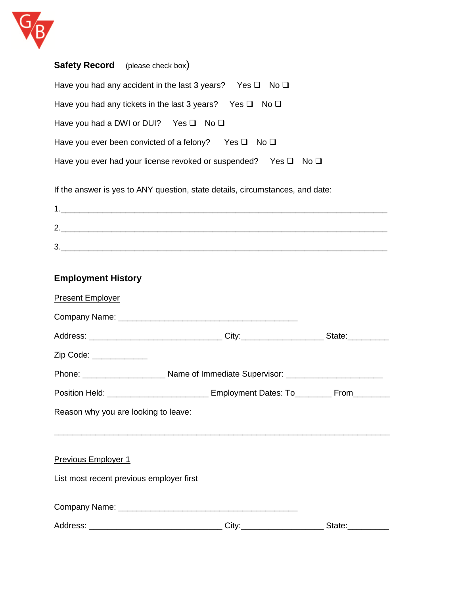

| <b>Safety Record</b> (please check box)                                         |
|---------------------------------------------------------------------------------|
| Have you had any accident in the last 3 years? Yes $\Box$ No $\Box$             |
| Have you had any tickets in the last 3 years? Yes $\Box$ No $\Box$              |
| Have you had a DWI or DUI? Yes $\Box$ No $\Box$                                 |
| Have you ever been convicted of a felony?<br>$Yes \Box No \Box$                 |
| Have you ever had your license revoked or suspended? Yes $\square$ No $\square$ |
| If the answer is yes to ANY question, state details, circumstances, and date:   |

| r      |  |  |
|--------|--|--|
| ാ<br>w |  |  |

## **Employment History**

| <b>Present Employer</b>                  |                                                                                         |  |
|------------------------------------------|-----------------------------------------------------------------------------------------|--|
|                                          |                                                                                         |  |
|                                          |                                                                                         |  |
| Zip Code: ____________                   |                                                                                         |  |
|                                          |                                                                                         |  |
|                                          | Position Held: _____________________________ Employment Dates: To_________ From________ |  |
| Reason why you are looking to leave:     |                                                                                         |  |
|                                          |                                                                                         |  |
| <b>Previous Employer 1</b>               |                                                                                         |  |
| List most recent previous employer first |                                                                                         |  |
|                                          |                                                                                         |  |
|                                          |                                                                                         |  |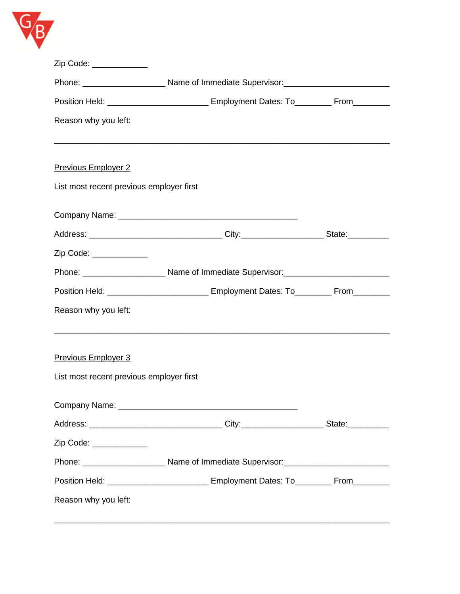

| Zip Code: ____________                   |                                                                                         |  |
|------------------------------------------|-----------------------------------------------------------------------------------------|--|
|                                          |                                                                                         |  |
|                                          | Position Held: _____________________________ Employment Dates: To_________ From________ |  |
| Reason why you left:                     |                                                                                         |  |
|                                          |                                                                                         |  |
| <b>Previous Employer 2</b>               |                                                                                         |  |
| List most recent previous employer first |                                                                                         |  |
|                                          |                                                                                         |  |
|                                          |                                                                                         |  |
|                                          |                                                                                         |  |
| Zip Code: ____________                   |                                                                                         |  |
|                                          |                                                                                         |  |
|                                          | Position Held: _____________________________ Employment Dates: To_________ From________ |  |
| Reason why you left:                     |                                                                                         |  |
|                                          |                                                                                         |  |
|                                          |                                                                                         |  |
| <b>Previous Employer 3</b>               |                                                                                         |  |
| List most recent previous employer first |                                                                                         |  |
|                                          |                                                                                         |  |
|                                          |                                                                                         |  |
| Zip Code: ____________                   |                                                                                         |  |
|                                          |                                                                                         |  |
|                                          | Position Held: _____________________________ Employment Dates: To_________ From________ |  |
| Reason why you left:                     |                                                                                         |  |
|                                          |                                                                                         |  |